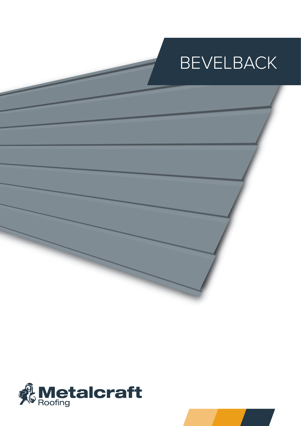